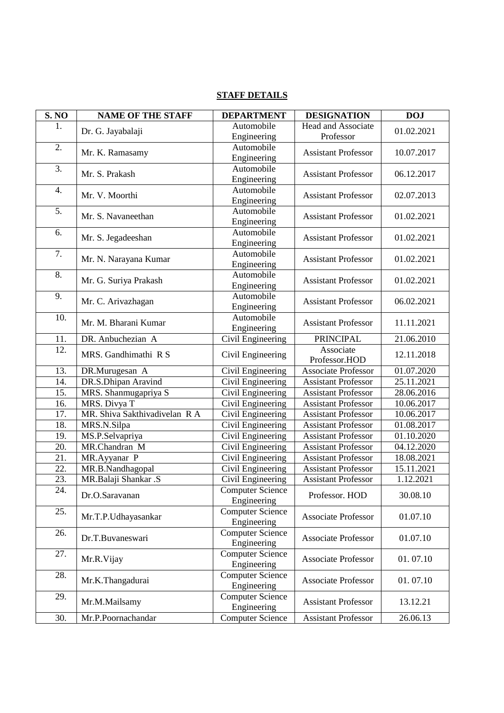| <b>STAFF DETAILS</b> |
|----------------------|
|----------------------|

| Automobile<br>Head and Associate<br>1.<br>Dr. G. Jayabalaji<br>01.02.2021<br>Engineering<br>Professor<br>2.<br>Automobile<br><b>Assistant Professor</b><br>Mr. K. Ramasamy<br>10.07.2017<br>Engineering<br>3.<br>Automobile<br>Mr. S. Prakash<br>06.12.2017<br><b>Assistant Professor</b><br>Engineering<br>Automobile<br>4.<br>Mr. V. Moorthi<br><b>Assistant Professor</b><br>02.07.2013<br>Engineering<br>5.<br>Automobile<br>Mr. S. Navaneethan<br><b>Assistant Professor</b><br>01.02.2021<br>Engineering<br>Automobile<br>6.<br>Mr. S. Jegadeeshan<br><b>Assistant Professor</b><br>01.02.2021<br>Engineering<br>$\overline{7}$ .<br>Automobile<br>Mr. N. Narayana Kumar<br><b>Assistant Professor</b><br>01.02.2021<br>Engineering<br>8.<br>Automobile<br><b>Assistant Professor</b><br>Mr. G. Suriya Prakash<br>01.02.2021<br>Engineering<br>9.<br>Automobile<br><b>Assistant Professor</b><br>Mr. C. Arivazhagan<br>06.02.2021<br>Engineering<br>10.<br>Automobile |
|-----------------------------------------------------------------------------------------------------------------------------------------------------------------------------------------------------------------------------------------------------------------------------------------------------------------------------------------------------------------------------------------------------------------------------------------------------------------------------------------------------------------------------------------------------------------------------------------------------------------------------------------------------------------------------------------------------------------------------------------------------------------------------------------------------------------------------------------------------------------------------------------------------------------------------------------------------------------------------|
|                                                                                                                                                                                                                                                                                                                                                                                                                                                                                                                                                                                                                                                                                                                                                                                                                                                                                                                                                                             |
|                                                                                                                                                                                                                                                                                                                                                                                                                                                                                                                                                                                                                                                                                                                                                                                                                                                                                                                                                                             |
|                                                                                                                                                                                                                                                                                                                                                                                                                                                                                                                                                                                                                                                                                                                                                                                                                                                                                                                                                                             |
|                                                                                                                                                                                                                                                                                                                                                                                                                                                                                                                                                                                                                                                                                                                                                                                                                                                                                                                                                                             |
|                                                                                                                                                                                                                                                                                                                                                                                                                                                                                                                                                                                                                                                                                                                                                                                                                                                                                                                                                                             |
|                                                                                                                                                                                                                                                                                                                                                                                                                                                                                                                                                                                                                                                                                                                                                                                                                                                                                                                                                                             |
|                                                                                                                                                                                                                                                                                                                                                                                                                                                                                                                                                                                                                                                                                                                                                                                                                                                                                                                                                                             |
|                                                                                                                                                                                                                                                                                                                                                                                                                                                                                                                                                                                                                                                                                                                                                                                                                                                                                                                                                                             |
|                                                                                                                                                                                                                                                                                                                                                                                                                                                                                                                                                                                                                                                                                                                                                                                                                                                                                                                                                                             |
|                                                                                                                                                                                                                                                                                                                                                                                                                                                                                                                                                                                                                                                                                                                                                                                                                                                                                                                                                                             |
|                                                                                                                                                                                                                                                                                                                                                                                                                                                                                                                                                                                                                                                                                                                                                                                                                                                                                                                                                                             |
|                                                                                                                                                                                                                                                                                                                                                                                                                                                                                                                                                                                                                                                                                                                                                                                                                                                                                                                                                                             |
|                                                                                                                                                                                                                                                                                                                                                                                                                                                                                                                                                                                                                                                                                                                                                                                                                                                                                                                                                                             |
|                                                                                                                                                                                                                                                                                                                                                                                                                                                                                                                                                                                                                                                                                                                                                                                                                                                                                                                                                                             |
|                                                                                                                                                                                                                                                                                                                                                                                                                                                                                                                                                                                                                                                                                                                                                                                                                                                                                                                                                                             |
|                                                                                                                                                                                                                                                                                                                                                                                                                                                                                                                                                                                                                                                                                                                                                                                                                                                                                                                                                                             |
|                                                                                                                                                                                                                                                                                                                                                                                                                                                                                                                                                                                                                                                                                                                                                                                                                                                                                                                                                                             |
|                                                                                                                                                                                                                                                                                                                                                                                                                                                                                                                                                                                                                                                                                                                                                                                                                                                                                                                                                                             |
|                                                                                                                                                                                                                                                                                                                                                                                                                                                                                                                                                                                                                                                                                                                                                                                                                                                                                                                                                                             |
| Mr. M. Bharani Kumar<br><b>Assistant Professor</b><br>11.11.2021<br>Engineering                                                                                                                                                                                                                                                                                                                                                                                                                                                                                                                                                                                                                                                                                                                                                                                                                                                                                             |
| Civil Engineering<br>21.06.2010<br>DR. Anbuchezian A<br><b>PRINCIPAL</b><br>11.                                                                                                                                                                                                                                                                                                                                                                                                                                                                                                                                                                                                                                                                                                                                                                                                                                                                                             |
| 12.<br>Associate                                                                                                                                                                                                                                                                                                                                                                                                                                                                                                                                                                                                                                                                                                                                                                                                                                                                                                                                                            |
| MRS. Gandhimathi R S<br>Civil Engineering<br>12.11.2018<br>Professor.HOD                                                                                                                                                                                                                                                                                                                                                                                                                                                                                                                                                                                                                                                                                                                                                                                                                                                                                                    |
| Civil Engineering<br>13.<br>DR.Murugesan A<br><b>Associate Professor</b><br>01.07.2020                                                                                                                                                                                                                                                                                                                                                                                                                                                                                                                                                                                                                                                                                                                                                                                                                                                                                      |
| DR.S.Dhipan Aravind<br>Civil Engineering<br><b>Assistant Professor</b><br>25.11.2021<br>14.                                                                                                                                                                                                                                                                                                                                                                                                                                                                                                                                                                                                                                                                                                                                                                                                                                                                                 |
| 28.06.2016<br>15.<br>MRS. Shanmugapriya S<br>Civil Engineering<br><b>Assistant Professor</b>                                                                                                                                                                                                                                                                                                                                                                                                                                                                                                                                                                                                                                                                                                                                                                                                                                                                                |
| 16.<br><b>Assistant Professor</b>                                                                                                                                                                                                                                                                                                                                                                                                                                                                                                                                                                                                                                                                                                                                                                                                                                                                                                                                           |
| MRS. Divya T<br>Civil Engineering<br>10.06.2017                                                                                                                                                                                                                                                                                                                                                                                                                                                                                                                                                                                                                                                                                                                                                                                                                                                                                                                             |
| MR. Shiva Sakthivadivelan R A<br>17.<br>Civil Engineering<br><b>Assistant Professor</b><br>10.06.2017                                                                                                                                                                                                                                                                                                                                                                                                                                                                                                                                                                                                                                                                                                                                                                                                                                                                       |
| MRS.N.Silpa<br>Civil Engineering<br><b>Assistant Professor</b><br>01.08.2017<br>18.                                                                                                                                                                                                                                                                                                                                                                                                                                                                                                                                                                                                                                                                                                                                                                                                                                                                                         |
| 19.<br>MS.P.Selvapriya<br>Civil Engineering<br><b>Assistant Professor</b><br>01.10.2020                                                                                                                                                                                                                                                                                                                                                                                                                                                                                                                                                                                                                                                                                                                                                                                                                                                                                     |
| 20.<br>MR.Chandran M<br>Civil Engineering<br><b>Assistant Professor</b><br>04.12.2020                                                                                                                                                                                                                                                                                                                                                                                                                                                                                                                                                                                                                                                                                                                                                                                                                                                                                       |
| 18.08.2021<br>21.<br>MR.Ayyanar P<br>Civil Engineering<br><b>Assistant Professor</b>                                                                                                                                                                                                                                                                                                                                                                                                                                                                                                                                                                                                                                                                                                                                                                                                                                                                                        |
| MR.B.Nandhagopal<br>15.11.2021<br>22.<br>Civil Engineering<br><b>Assistant Professor</b>                                                                                                                                                                                                                                                                                                                                                                                                                                                                                                                                                                                                                                                                                                                                                                                                                                                                                    |
| Civil Engineering<br>1.12.2021<br>23.<br>MR.Balaji Shankar .S<br><b>Assistant Professor</b>                                                                                                                                                                                                                                                                                                                                                                                                                                                                                                                                                                                                                                                                                                                                                                                                                                                                                 |
| 24.<br><b>Computer Science</b><br>Professor. HOD<br>30.08.10<br>Dr.O.Saravanan                                                                                                                                                                                                                                                                                                                                                                                                                                                                                                                                                                                                                                                                                                                                                                                                                                                                                              |
| Engineering                                                                                                                                                                                                                                                                                                                                                                                                                                                                                                                                                                                                                                                                                                                                                                                                                                                                                                                                                                 |
| <b>Computer Science</b><br>25.<br><b>Associate Professor</b><br>Mr.T.P.Udhayasankar<br>01.07.10                                                                                                                                                                                                                                                                                                                                                                                                                                                                                                                                                                                                                                                                                                                                                                                                                                                                             |
| Engineering                                                                                                                                                                                                                                                                                                                                                                                                                                                                                                                                                                                                                                                                                                                                                                                                                                                                                                                                                                 |
| <b>Computer Science</b><br>26.<br>Dr.T.Buvaneswari<br><b>Associate Professor</b><br>01.07.10                                                                                                                                                                                                                                                                                                                                                                                                                                                                                                                                                                                                                                                                                                                                                                                                                                                                                |
| Engineering                                                                                                                                                                                                                                                                                                                                                                                                                                                                                                                                                                                                                                                                                                                                                                                                                                                                                                                                                                 |
| <b>Computer Science</b><br>27.<br><b>Associate Professor</b><br>01.07.10                                                                                                                                                                                                                                                                                                                                                                                                                                                                                                                                                                                                                                                                                                                                                                                                                                                                                                    |
| Mr.R.Vijay<br>Engineering                                                                                                                                                                                                                                                                                                                                                                                                                                                                                                                                                                                                                                                                                                                                                                                                                                                                                                                                                   |
| 28.<br><b>Computer Science</b>                                                                                                                                                                                                                                                                                                                                                                                                                                                                                                                                                                                                                                                                                                                                                                                                                                                                                                                                              |
| Mr.K.Thangadurai<br><b>Associate Professor</b><br>01.07.10<br>Engineering                                                                                                                                                                                                                                                                                                                                                                                                                                                                                                                                                                                                                                                                                                                                                                                                                                                                                                   |
| <b>Computer Science</b><br>29.                                                                                                                                                                                                                                                                                                                                                                                                                                                                                                                                                                                                                                                                                                                                                                                                                                                                                                                                              |
| Mr.M.Mailsamy<br><b>Assistant Professor</b><br>13.12.21<br>Engineering                                                                                                                                                                                                                                                                                                                                                                                                                                                                                                                                                                                                                                                                                                                                                                                                                                                                                                      |
| 30.<br>Mr.P.Poornachandar<br><b>Computer Science</b><br>26.06.13<br><b>Assistant Professor</b>                                                                                                                                                                                                                                                                                                                                                                                                                                                                                                                                                                                                                                                                                                                                                                                                                                                                              |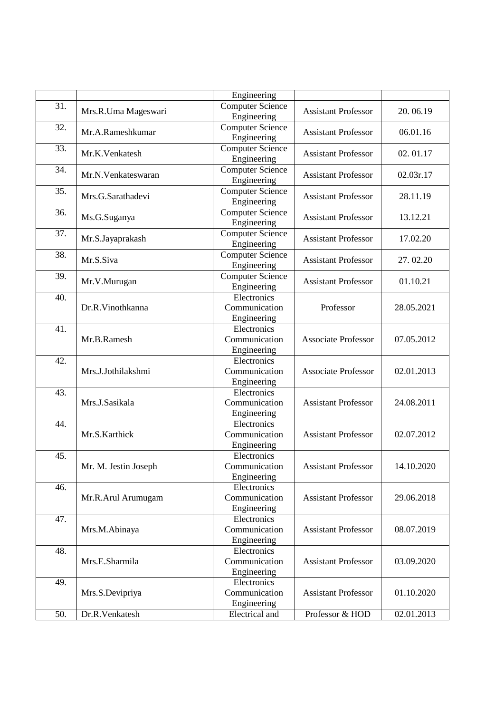|     |                      | Engineering             |                            |            |
|-----|----------------------|-------------------------|----------------------------|------------|
| 31. | Mrs.R.Uma Mageswari  | <b>Computer Science</b> | <b>Assistant Professor</b> | 20.06.19   |
|     |                      | Engineering             |                            |            |
| 32. |                      | <b>Computer Science</b> | <b>Assistant Professor</b> |            |
|     | Mr.A.Rameshkumar     | Engineering             |                            | 06.01.16   |
| 33. |                      | <b>Computer Science</b> |                            |            |
|     | Mr.K.Venkatesh       | Engineering             | <b>Assistant Professor</b> | 02.01.17   |
| 34. |                      | <b>Computer Science</b> |                            |            |
|     | Mr.N.Venkateswaran   | Engineering             | <b>Assistant Professor</b> | 02.03r.17  |
| 35. |                      | <b>Computer Science</b> |                            |            |
|     | Mrs.G.Sarathadevi    | Engineering             | <b>Assistant Professor</b> | 28.11.19   |
|     |                      |                         |                            |            |
| 36. | Ms.G.Suganya         | <b>Computer Science</b> | <b>Assistant Professor</b> | 13.12.21   |
|     |                      | Engineering             |                            |            |
| 37. | Mr.S.Jayaprakash     | <b>Computer Science</b> | <b>Assistant Professor</b> | 17.02.20   |
|     |                      | Engineering             |                            |            |
| 38. | Mr.S.Siva            | <b>Computer Science</b> | <b>Assistant Professor</b> | 27.02.20   |
|     |                      | Engineering             |                            |            |
| 39. |                      | <b>Computer Science</b> |                            |            |
|     | Mr.V.Murugan         | Engineering             | <b>Assistant Professor</b> | 01.10.21   |
| 40. |                      | Electronics             |                            |            |
|     | Dr.R.Vinothkanna     | Communication           | Professor                  | 28.05.2021 |
|     |                      | Engineering             |                            |            |
| 41. |                      | Electronics             |                            |            |
|     | Mr.B.Ramesh          | Communication           | <b>Associate Professor</b> | 07.05.2012 |
|     |                      |                         |                            |            |
|     |                      | Engineering             |                            |            |
| 42. | Mrs.J.Jothilakshmi   | Electronics             | <b>Associate Professor</b> | 02.01.2013 |
|     |                      | Communication           |                            |            |
|     |                      | Engineering             |                            |            |
| 43. |                      | Electronics             |                            |            |
|     | Mrs.J.Sasikala       | Communication           | <b>Assistant Professor</b> | 24.08.2011 |
|     |                      | Engineering             |                            |            |
| 44. |                      | Electronics             |                            |            |
|     | Mr.S.Karthick        | Communication           | <b>Assistant Professor</b> | 02.07.2012 |
|     |                      | Engineering             |                            |            |
| 45. |                      | Electronics             |                            |            |
|     | Mr. M. Jestin Joseph | Communication           | Assistant Professor        | 14.10.2020 |
|     |                      | Engineering             |                            |            |
| 46. |                      | Electronics             |                            |            |
|     |                      |                         |                            |            |
|     | Mr.R.Arul Arumugam   | Communication           | <b>Assistant Professor</b> | 29.06.2018 |
|     |                      | Engineering             |                            |            |
| 47. |                      | Electronics             |                            |            |
|     | Mrs.M.Abinaya        | Communication           | <b>Assistant Professor</b> | 08.07.2019 |
|     |                      | Engineering             |                            |            |
| 48. |                      | Electronics             |                            |            |
|     | Mrs.E.Sharmila       | Communication           | <b>Assistant Professor</b> | 03.09.2020 |
|     |                      | Engineering             |                            |            |
| 49. |                      | Electronics             |                            |            |
|     | Mrs.S.Devipriya      | Communication           | <b>Assistant Professor</b> | 01.10.2020 |
|     |                      | Engineering             |                            |            |
| 50. | Dr.R.Venkatesh       | Electrical and          | Professor & HOD            | 02.01.2013 |
|     |                      |                         |                            |            |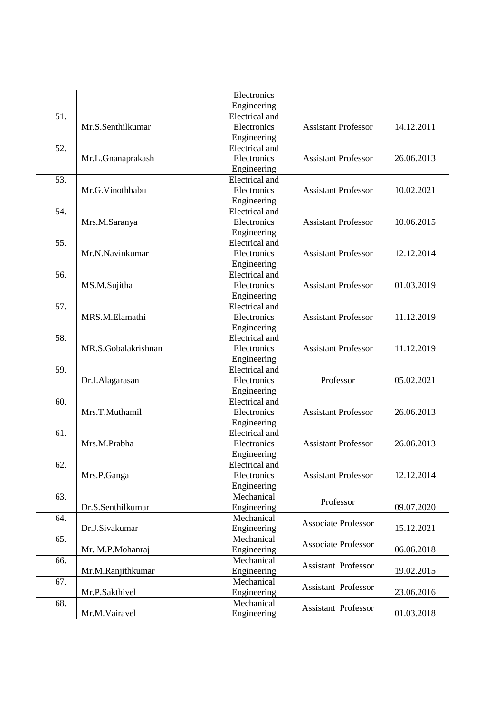|     |                     | Electronics    |                            |            |
|-----|---------------------|----------------|----------------------------|------------|
|     |                     | Engineering    |                            |            |
| 51. |                     | Electrical and |                            |            |
|     | Mr.S.Senthilkumar   | Electronics    | <b>Assistant Professor</b> | 14.12.2011 |
|     |                     | Engineering    |                            |            |
| 52. |                     | Electrical and |                            |            |
|     | Mr.L.Gnanaprakash   | Electronics    | <b>Assistant Professor</b> | 26.06.2013 |
|     |                     | Engineering    |                            |            |
| 53. |                     | Electrical and |                            |            |
|     | Mr.G.Vinothbabu     | Electronics    | <b>Assistant Professor</b> | 10.02.2021 |
|     |                     | Engineering    |                            |            |
| 54. |                     | Electrical and |                            |            |
|     | Mrs.M.Saranya       | Electronics    | <b>Assistant Professor</b> | 10.06.2015 |
|     |                     | Engineering    |                            |            |
| 55. |                     | Electrical and |                            |            |
|     | Mr.N.Navinkumar     | Electronics    | <b>Assistant Professor</b> | 12.12.2014 |
|     |                     | Engineering    |                            |            |
| 56. |                     | Electrical and |                            |            |
|     | MS.M.Sujitha        | Electronics    | <b>Assistant Professor</b> | 01.03.2019 |
|     |                     | Engineering    |                            |            |
| 57. |                     | Electrical and |                            |            |
|     | MRS.M.Elamathi      | Electronics    | <b>Assistant Professor</b> | 11.12.2019 |
|     |                     | Engineering    |                            |            |
| 58. |                     | Electrical and |                            |            |
|     | MR.S.Gobalakrishnan | Electronics    | <b>Assistant Professor</b> | 11.12.2019 |
|     |                     | Engineering    |                            |            |
| 59. |                     | Electrical and |                            |            |
|     | Dr.I.Alagarasan     | Electronics    | Professor                  | 05.02.2021 |
|     |                     | Engineering    |                            |            |
| 60. |                     | Electrical and | <b>Assistant Professor</b> | 26.06.2013 |
|     | Mrs.T.Muthamil      | Electronics    |                            |            |
|     |                     | Engineering    |                            |            |
| 61. |                     | Electrical and |                            | 26.06.2013 |
|     | Mrs.M.Prabha        | Electronics    | <b>Assistant Professor</b> |            |
|     |                     | Engineering    |                            |            |
|     |                     | Electrical and |                            |            |
| 62. | Mrs.P.Ganga         | Electronics    | <b>Assistant Professor</b> | 12.12.2014 |
|     |                     | Engineering    |                            |            |
| 63. |                     | Mechanical     |                            |            |
|     | Dr.S.Senthilkumar   | Engineering    | Professor                  | 09.07.2020 |
| 64. |                     | Mechanical     |                            |            |
|     | Dr.J.Sivakumar      | Engineering    | <b>Associate Professor</b> | 15.12.2021 |
| 65. |                     | Mechanical     |                            |            |
|     |                     |                | <b>Associate Professor</b> |            |
|     | Mr. M.P.Mohanraj    | Engineering    |                            | 06.06.2018 |
| 66. |                     | Mechanical     | Assistant Professor        |            |
|     | Mr.M.Ranjithkumar   | Engineering    |                            | 19.02.2015 |
| 67. |                     | Mechanical     | Assistant Professor        |            |
|     | Mr.P.Sakthivel      | Engineering    |                            | 23.06.2016 |
| 68. |                     | Mechanical     | Assistant Professor        |            |
|     | Mr.M.Vairavel       | Engineering    |                            | 01.03.2018 |